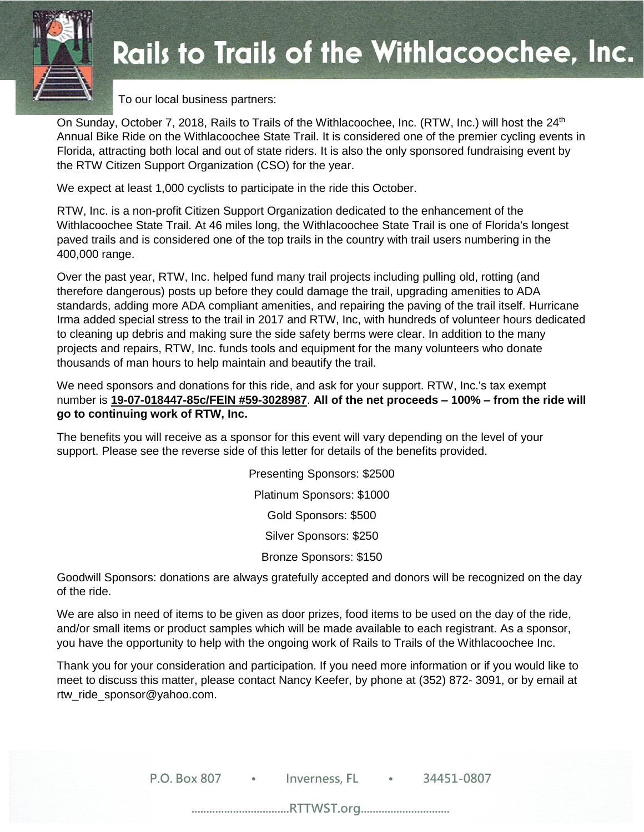

## **Rails to Trails of the Withlacoochee, Inc.**

To our local business partners:

On Sunday, October 7, 2018, Rails to Trails of the Withlacoochee, Inc. (RTW, Inc.) will host the 24<sup>th</sup> Annual Bike Ride on the Withlacoochee State Trail. It is considered one of the premier cycling events in Florida, attracting both local and out of state riders. It is also the only sponsored fundraising event by the RTW Citizen Support Organization (CSO) for the year.

We expect at least 1,000 cyclists to participate in the ride this October.

RTW, Inc. is a non-profit Citizen Support Organization dedicated to the enhancement of the Withlacoochee State Trail. At 46 miles long, the Withlacoochee State Trail is one of Florida's longest paved trails and is considered one of the top trails in the country with trail users numbering in the 400,000 range.

Over the past year, RTW, Inc. helped fund many trail projects including pulling old, rotting (and therefore dangerous) posts up before they could damage the trail, upgrading amenities to ADA standards, adding more ADA compliant amenities, and repairing the paving of the trail itself. Hurricane Irma added special stress to the trail in 2017 and RTW, Inc, with hundreds of volunteer hours dedicated to cleaning up debris and making sure the side safety berms were clear. In addition to the many projects and repairs, RTW, Inc. funds tools and equipment for the many volunteers who donate thousands of man hours to help maintain and beautify the trail.

We need sponsors and donations for this ride, and ask for your support. RTW, Inc.'s tax exempt number is **19-07-018447-85c/FElN #59-3028987**. **All of the net proceeds – 100% – from the ride will go to continuing work of RTW, Inc.**

The benefits you will receive as a sponsor for this event will vary depending on the level of your support. Please see the reverse side of this letter for details of the benefits provided.

> Presenting Sponsors: \$2500 Platinum Sponsors: \$1000 Gold Sponsors: \$500 Silver Sponsors: \$250 Bronze Sponsors: \$150

Goodwill Sponsors: donations are always gratefully accepted and donors will be recognized on the day of the ride.

We are also in need of items to be given as door prizes, food items to be used on the day of the ride, and/or small items or product samples which will be made available to each registrant. As a sponsor, you have the opportunity to help with the ongoing work of Rails to Trails of the Withlacoochee Inc.

Thank you for your consideration and participation. If you need more information or if you would like to meet to discuss this matter, please contact Nancy Keefer, by phone at (352) 872- 3091, or by email at [rtw\\_ride\\_sponsor@yahoo.com.](mailto:rtw_ride_sponsor@yahoo.com)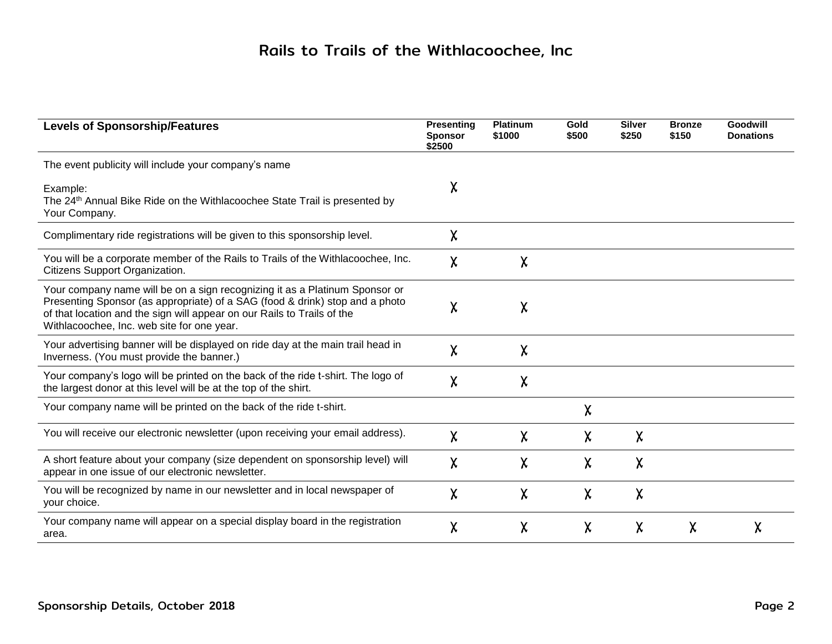## Rails to Trails of the Withlacoochee, Inc

| <b>Levels of Sponsorship/Features</b>                                                                                                                                                                                                                                                | <b>Presenting</b><br><b>Sponsor</b><br>\$2500 | <b>Platinum</b><br>\$1000 | Gold<br>\$500 | <b>Silver</b><br>\$250 | <b>Bronze</b><br>\$150 | Goodwill<br><b>Donations</b> |
|--------------------------------------------------------------------------------------------------------------------------------------------------------------------------------------------------------------------------------------------------------------------------------------|-----------------------------------------------|---------------------------|---------------|------------------------|------------------------|------------------------------|
| The event publicity will include your company's name                                                                                                                                                                                                                                 |                                               |                           |               |                        |                        |                              |
| Example:<br>The 24 <sup>th</sup> Annual Bike Ride on the Withlacoochee State Trail is presented by<br>Your Company.                                                                                                                                                                  | χ                                             |                           |               |                        |                        |                              |
| Complimentary ride registrations will be given to this sponsorship level.                                                                                                                                                                                                            | $\chi$                                        |                           |               |                        |                        |                              |
| You will be a corporate member of the Rails to Trails of the Withlacoochee, Inc.<br>Citizens Support Organization.                                                                                                                                                                   | χ                                             | χ                         |               |                        |                        |                              |
| Your company name will be on a sign recognizing it as a Platinum Sponsor or<br>Presenting Sponsor (as appropriate) of a SAG (food & drink) stop and a photo<br>of that location and the sign will appear on our Rails to Trails of the<br>Withlacoochee, Inc. web site for one year. | χ                                             | χ                         |               |                        |                        |                              |
| Your advertising banner will be displayed on ride day at the main trail head in<br>Inverness. (You must provide the banner.)                                                                                                                                                         | χ                                             | χ                         |               |                        |                        |                              |
| Your company's logo will be printed on the back of the ride t-shirt. The logo of<br>the largest donor at this level will be at the top of the shirt.                                                                                                                                 | χ                                             | χ                         |               |                        |                        |                              |
| Your company name will be printed on the back of the ride t-shirt.                                                                                                                                                                                                                   |                                               |                           | χ             |                        |                        |                              |
| You will receive our electronic newsletter (upon receiving your email address).                                                                                                                                                                                                      | χ                                             | χ                         | χ             | χ                      |                        |                              |
| A short feature about your company (size dependent on sponsorship level) will<br>appear in one issue of our electronic newsletter.                                                                                                                                                   | χ                                             | χ                         | χ             | $\sf X$                |                        |                              |
| You will be recognized by name in our newsletter and in local newspaper of<br>your choice.                                                                                                                                                                                           | χ                                             | χ                         | χ             | $\sf X$                |                        |                              |
| Your company name will appear on a special display board in the registration<br>area.                                                                                                                                                                                                | χ                                             | χ                         | χ             | χ                      | χ                      | χ                            |